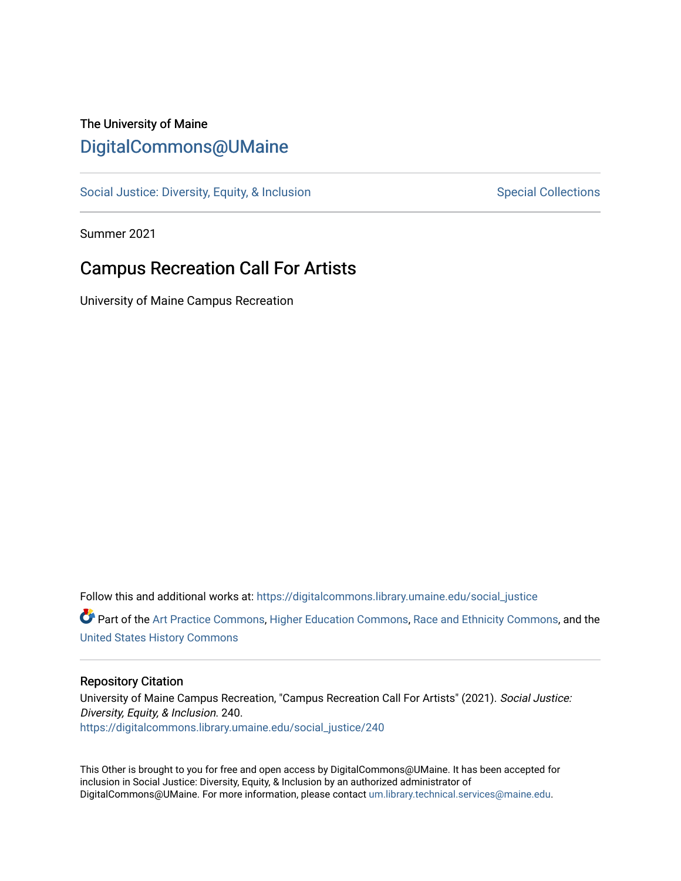#### The University of Maine [DigitalCommons@UMaine](https://digitalcommons.library.umaine.edu/)

[Social Justice: Diversity, Equity, & Inclusion](https://digitalcommons.library.umaine.edu/social_justice) [Special Collections](https://digitalcommons.library.umaine.edu/specialcollections) Special Collections

Summer 2021

#### Campus Recreation Call For Artists

University of Maine Campus Recreation

Follow this and additional works at: [https://digitalcommons.library.umaine.edu/social\\_justice](https://digitalcommons.library.umaine.edu/social_justice?utm_source=digitalcommons.library.umaine.edu%2Fsocial_justice%2F240&utm_medium=PDF&utm_campaign=PDFCoverPages)  **C** Part of the [Art Practice Commons](http://network.bepress.com/hgg/discipline/509?utm_source=digitalcommons.library.umaine.edu%2Fsocial_justice%2F240&utm_medium=PDF&utm_campaign=PDFCoverPages), [Higher Education Commons](http://network.bepress.com/hgg/discipline/1245?utm_source=digitalcommons.library.umaine.edu%2Fsocial_justice%2F240&utm_medium=PDF&utm_campaign=PDFCoverPages), [Race and Ethnicity Commons](http://network.bepress.com/hgg/discipline/426?utm_source=digitalcommons.library.umaine.edu%2Fsocial_justice%2F240&utm_medium=PDF&utm_campaign=PDFCoverPages), and the [United States History Commons](http://network.bepress.com/hgg/discipline/495?utm_source=digitalcommons.library.umaine.edu%2Fsocial_justice%2F240&utm_medium=PDF&utm_campaign=PDFCoverPages)

#### Repository Citation

University of Maine Campus Recreation, "Campus Recreation Call For Artists" (2021). Social Justice: Diversity, Equity, & Inclusion. 240. [https://digitalcommons.library.umaine.edu/social\\_justice/240](https://digitalcommons.library.umaine.edu/social_justice/240?utm_source=digitalcommons.library.umaine.edu%2Fsocial_justice%2F240&utm_medium=PDF&utm_campaign=PDFCoverPages) 

This Other is brought to you for free and open access by DigitalCommons@UMaine. It has been accepted for inclusion in Social Justice: Diversity, Equity, & Inclusion by an authorized administrator of DigitalCommons@UMaine. For more information, please contact [um.library.technical.services@maine.edu](mailto:um.library.technical.services@maine.edu).